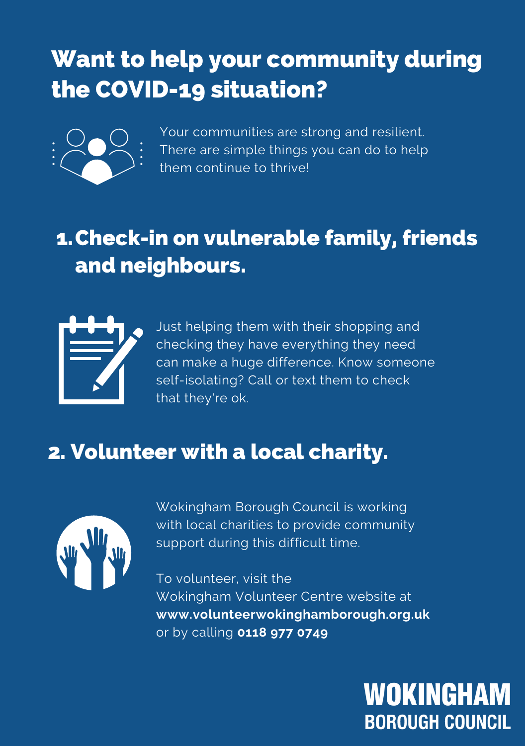## Want to help your community during the COVID-19 situation?



Your communities are strong and resilient. There are simple things you can do to help em continue to thrive!

### Check-in on vulnerable family, friends and neighbours.



Just helping them with their shopping and checking they have everything they need can make a huge difference. Know someone self-isolating? Call or text them to check that they're ok.

### 2. Volunteer with a local charity.



Wokingham Borough Council is working with local charities to provide community support during this difficult time.

To volunteer, visit the Wokingham Volunteer Centre website at **www.volunteerwokinghamborough.org.uk** or by calling **0118 977 0749**